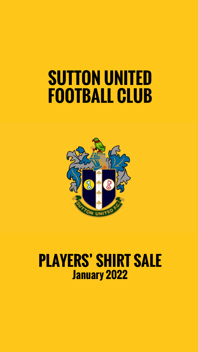# **SUTTON UNITED FOOTBALL CLUB**



### **PLAYERS' SHIRT SALE January 2022**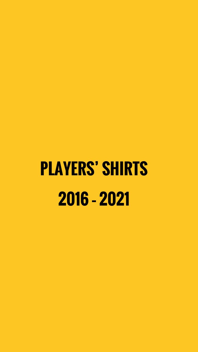# **PLAYERS' SHIRTS 2016 – 2021**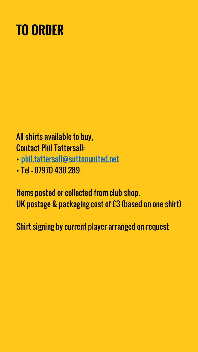# **TO ORDER**

#### All shirts available to buy, Contact Phil Tattersall:

- [phil.tattersall@suttonunited.net](mailto:phil.tattersall@suttonunited.net)
- Tel 07970 430 289

Items posted or collected from club shop. UK postage & packaging cost of £3 (based on one shirt)

Shirt signing by current player arranged on request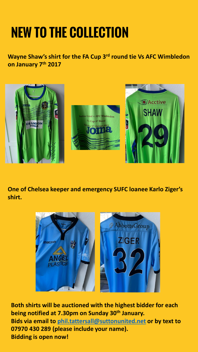# **NEW TO THE COLLECTION**

**Wayne Shaw's shirt for the FA Cup 3rd round tie Vs AFC Wimbledon on January 7th 2017**



**One of Chelsea keeper and emergency SUFC loanee Karlo Ziger's shirt.**



**Both shirts will be auctioned with the highest bidder for each being notified at 7.30pm on Sunday 30th January. Bids via email to [phil.tattersall@suttonunited.net](mailto:phil.tattersall@suttonunited.net) or by text to 07970 430 289 (please include your name). Bidding is open now!**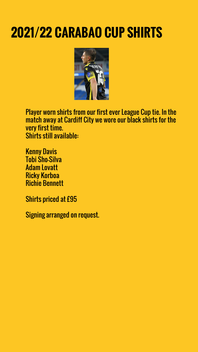# **2021/22 CARABAO CUP SHIRTS**



Player worn shirts from our first ever League Cup tie. In the match away at Cardiff City we wore our black shirts for the very first time. Shirts still available:

Kenny Davis Tobi Sho-Silva Adam Lovatt Ricky Korboa Richie Bennett

Shirts priced at £95

Signing arranged on request.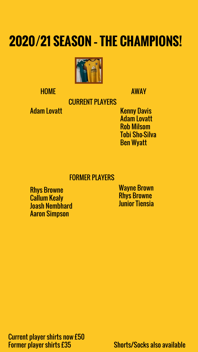### **2020/21 SEASON – THE CHAMPIONS!**



HOME AWAY

CURRENT PLAYERS

Adam Lovatt

Kenny Davis Adam Lovatt Rob Milsom Tobi Sho-Silva Ben Wyatt

#### FORMER PLAYERS

Rhys Browne Callum Kealy Joash Nembhard Aaron Simpson

Wayne Brown Rhys Browne Junior Tiensia

Current player shirts now £50 Former player shirts £35 Shorts/Socks also available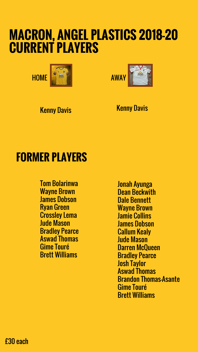### **MACRON, ANGEL PLASTICS 2018-20 CURRENT PLAYERS**



Kenny Davis **Kenny Davis** 

### **FORMER PLAYERS**

Tom Bolarinwa Wayne Brown James Dobson Ryan Green Crossley Lema Jude Mason Bradley Pearce Aswad Thomas Gime Touré Brett Williams

Jonah Ayunga Dean Beckwith Dale Bennett Wayne Brown Jamie Collins James Dobson Callum Kealy Jude Mason Darren McQueen Bradley Pearce Josh Taylor Aswad Thomas Brandon Thomas-Asante Gime Touré Brett Williams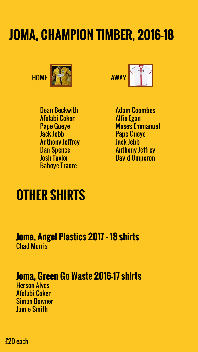# **JOMA, CHAMPION TIMBER, 2016-18**





Dean Beckwith Afolabi Coker Pape Gueye Jack Jebb Anthony Jeffrey Dan Spence Josh Taylor Baboye Traore

Adam Coombes Alfie Egan Moses Emmanuel Pape Gueye Jack Jebb Anthony Jeffrey David Omperon

### **OTHER SHIRTS**

#### **Joma, Angel Plastics 2017 – 18 shirts** Chad Morris

### **Joma, Green Go Waste 2016-17 shirts**

Herson Alves Afolabi Coker Simon Downer Jamie Smith

£20 each